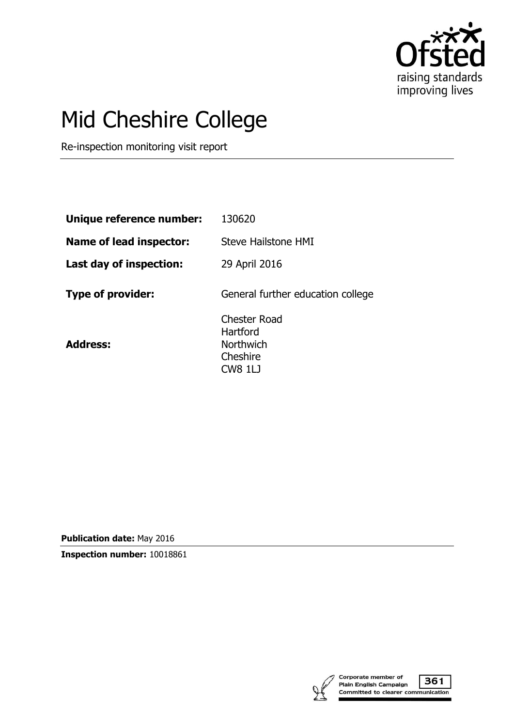

# Mid Cheshire College

Re-inspection monitoring visit report

| Unique reference number: | 130620                                                                            |
|--------------------------|-----------------------------------------------------------------------------------|
| Name of lead inspector:  | <b>Steve Hailstone HMI</b>                                                        |
| Last day of inspection:  | 29 April 2016                                                                     |
| Type of provider:        | General further education college                                                 |
| <b>Address:</b>          | <b>Chester Road</b><br>Hartford<br><b>Northwich</b><br>Cheshire<br><b>CW8 1LJ</b> |

**Publication date:** May 2016

**Inspection number:** 10018861

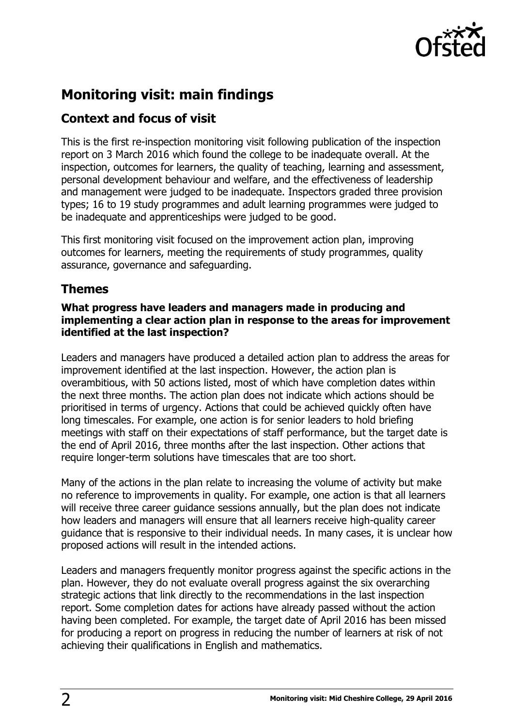

## **Monitoring visit: main findings**

### **Context and focus of visit**

This is the first re-inspection monitoring visit following publication of the inspection report on 3 March 2016 which found the college to be inadequate overall. At the inspection, outcomes for learners, the quality of teaching, learning and assessment, personal development behaviour and welfare, and the effectiveness of leadership and management were judged to be inadequate. Inspectors graded three provision types; 16 to 19 study programmes and adult learning programmes were judged to be inadequate and apprenticeships were judged to be good.

This first monitoring visit focused on the improvement action plan, improving outcomes for learners, meeting the requirements of study programmes, quality assurance, governance and safeguarding.

## **Themes**

#### **What progress have leaders and managers made in producing and implementing a clear action plan in response to the areas for improvement identified at the last inspection?**

Leaders and managers have produced a detailed action plan to address the areas for improvement identified at the last inspection. However, the action plan is overambitious, with 50 actions listed, most of which have completion dates within the next three months. The action plan does not indicate which actions should be prioritised in terms of urgency. Actions that could be achieved quickly often have long timescales. For example, one action is for senior leaders to hold briefing meetings with staff on their expectations of staff performance, but the target date is the end of April 2016, three months after the last inspection. Other actions that require longer-term solutions have timescales that are too short.

Many of the actions in the plan relate to increasing the volume of activity but make no reference to improvements in quality. For example, one action is that all learners will receive three career guidance sessions annually, but the plan does not indicate how leaders and managers will ensure that all learners receive high-quality career guidance that is responsive to their individual needs. In many cases, it is unclear how proposed actions will result in the intended actions.

Leaders and managers frequently monitor progress against the specific actions in the plan. However, they do not evaluate overall progress against the six overarching strategic actions that link directly to the recommendations in the last inspection report. Some completion dates for actions have already passed without the action having been completed. For example, the target date of April 2016 has been missed for producing a report on progress in reducing the number of learners at risk of not achieving their qualifications in English and mathematics.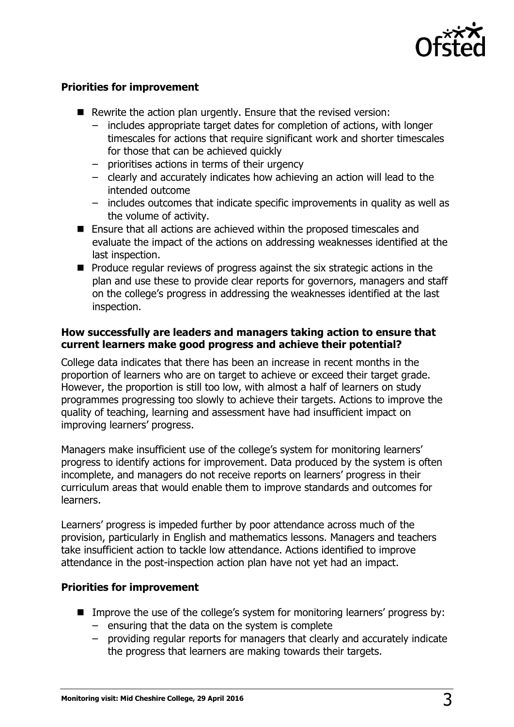

#### **Priorities for improvement**

- Rewrite the action plan urgently. Ensure that the revised version:
	- includes appropriate target dates for completion of actions, with longer timescales for actions that require significant work and shorter timescales for those that can be achieved quickly
	- prioritises actions in terms of their urgency
	- clearly and accurately indicates how achieving an action will lead to the intended outcome
	- includes outcomes that indicate specific improvements in quality as well as the volume of activity.
- Ensure that all actions are achieved within the proposed timescales and evaluate the impact of the actions on addressing weaknesses identified at the last inspection.
- $\blacksquare$  Produce regular reviews of progress against the six strategic actions in the plan and use these to provide clear reports for governors, managers and staff on the college's progress in addressing the weaknesses identified at the last inspection.

#### **How successfully are leaders and managers taking action to ensure that current learners make good progress and achieve their potential?**

College data indicates that there has been an increase in recent months in the proportion of learners who are on target to achieve or exceed their target grade. However, the proportion is still too low, with almost a half of learners on study programmes progressing too slowly to achieve their targets. Actions to improve the quality of teaching, learning and assessment have had insufficient impact on improving learners' progress.

Managers make insufficient use of the college's system for monitoring learners' progress to identify actions for improvement. Data produced by the system is often incomplete, and managers do not receive reports on learners' progress in their curriculum areas that would enable them to improve standards and outcomes for learners.

Learners' progress is impeded further by poor attendance across much of the provision, particularly in English and mathematics lessons. Managers and teachers take insufficient action to tackle low attendance. Actions identified to improve attendance in the post-inspection action plan have not yet had an impact.

#### **Priorities for improvement**

- Improve the use of the college's system for monitoring learners' progress by:
	- ensuring that the data on the system is complete
	- providing regular reports for managers that clearly and accurately indicate the progress that learners are making towards their targets.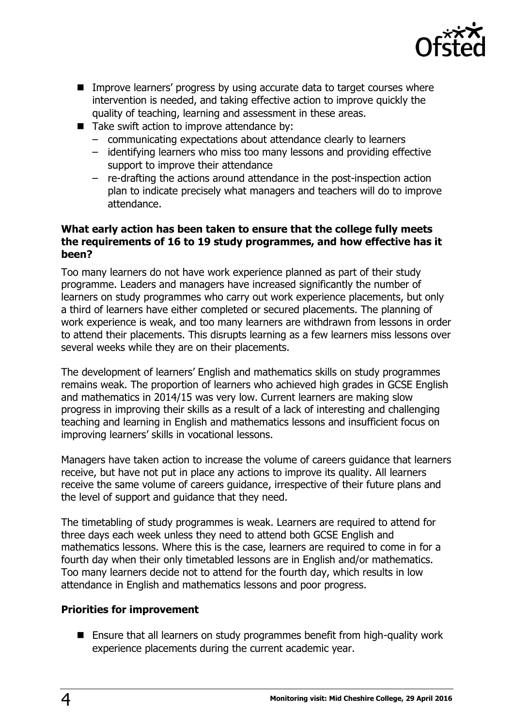

- **IMPROVE LATTLES** 10 Improve learners' progress by using accurate data to target courses where intervention is needed, and taking effective action to improve quickly the quality of teaching, learning and assessment in these areas.
- Take swift action to improve attendance by:
	- communicating expectations about attendance clearly to learners
	- identifying learners who miss too many lessons and providing effective support to improve their attendance
	- re-drafting the actions around attendance in the post-inspection action plan to indicate precisely what managers and teachers will do to improve attendance.

#### **What early action has been taken to ensure that the college fully meets the requirements of 16 to 19 study programmes, and how effective has it been?**

Too many learners do not have work experience planned as part of their study programme. Leaders and managers have increased significantly the number of learners on study programmes who carry out work experience placements, but only a third of learners have either completed or secured placements. The planning of work experience is weak, and too many learners are withdrawn from lessons in order to attend their placements. This disrupts learning as a few learners miss lessons over several weeks while they are on their placements.

The development of learners' English and mathematics skills on study programmes remains weak. The proportion of learners who achieved high grades in GCSE English and mathematics in 2014/15 was very low. Current learners are making slow progress in improving their skills as a result of a lack of interesting and challenging teaching and learning in English and mathematics lessons and insufficient focus on improving learners' skills in vocational lessons.

Managers have taken action to increase the volume of careers guidance that learners receive, but have not put in place any actions to improve its quality. All learners receive the same volume of careers guidance, irrespective of their future plans and the level of support and guidance that they need.

The timetabling of study programmes is weak. Learners are required to attend for three days each week unless they need to attend both GCSE English and mathematics lessons. Where this is the case, learners are required to come in for a fourth day when their only timetabled lessons are in English and/or mathematics. Too many learners decide not to attend for the fourth day, which results in low attendance in English and mathematics lessons and poor progress.

#### **Priorities for improvement**

■ Ensure that all learners on study programmes benefit from high-quality work experience placements during the current academic year.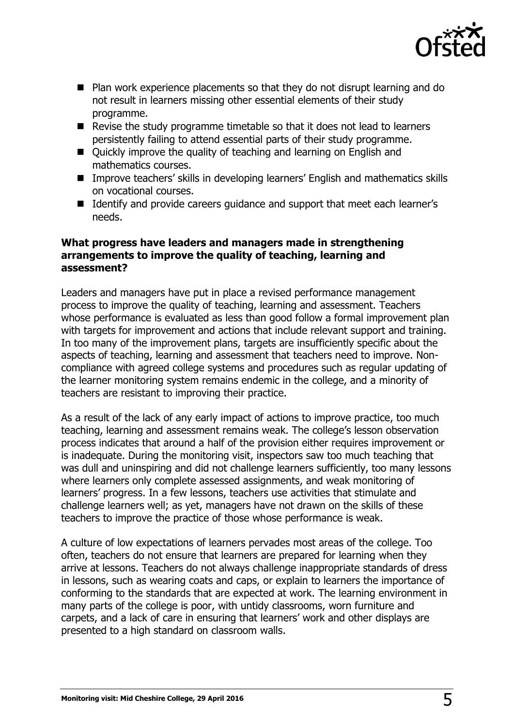

- Plan work experience placements so that they do not disrupt learning and do not result in learners missing other essential elements of their study programme.
- Revise the study programme timetable so that it does not lead to learners persistently failing to attend essential parts of their study programme.
- Ouickly improve the quality of teaching and learning on English and mathematics courses.
- Improve teachers' skills in developing learners' English and mathematics skills on vocational courses.
- Identify and provide careers quidance and support that meet each learner's needs.

#### **What progress have leaders and managers made in strengthening arrangements to improve the quality of teaching, learning and assessment?**

Leaders and managers have put in place a revised performance management process to improve the quality of teaching, learning and assessment. Teachers whose performance is evaluated as less than good follow a formal improvement plan with targets for improvement and actions that include relevant support and training. In too many of the improvement plans, targets are insufficiently specific about the aspects of teaching, learning and assessment that teachers need to improve. Noncompliance with agreed college systems and procedures such as regular updating of the learner monitoring system remains endemic in the college, and a minority of teachers are resistant to improving their practice.

As a result of the lack of any early impact of actions to improve practice, too much teaching, learning and assessment remains weak. The college's lesson observation process indicates that around a half of the provision either requires improvement or is inadequate. During the monitoring visit, inspectors saw too much teaching that was dull and uninspiring and did not challenge learners sufficiently, too many lessons where learners only complete assessed assignments, and weak monitoring of learners' progress. In a few lessons, teachers use activities that stimulate and challenge learners well; as yet, managers have not drawn on the skills of these teachers to improve the practice of those whose performance is weak.

A culture of low expectations of learners pervades most areas of the college. Too often, teachers do not ensure that learners are prepared for learning when they arrive at lessons. Teachers do not always challenge inappropriate standards of dress in lessons, such as wearing coats and caps, or explain to learners the importance of conforming to the standards that are expected at work. The learning environment in many parts of the college is poor, with untidy classrooms, worn furniture and carpets, and a lack of care in ensuring that learners' work and other displays are presented to a high standard on classroom walls.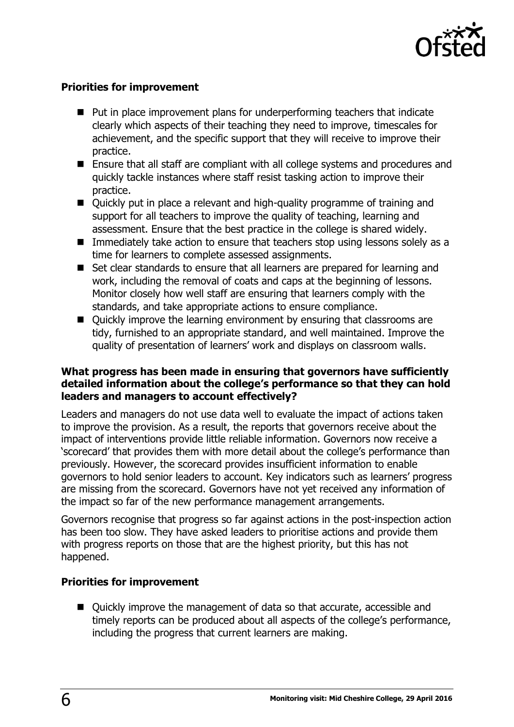

#### **Priorities for improvement**

- Put in place improvement plans for underperforming teachers that indicate clearly which aspects of their teaching they need to improve, timescales for achievement, and the specific support that they will receive to improve their practice.
- Ensure that all staff are compliant with all college systems and procedures and quickly tackle instances where staff resist tasking action to improve their practice.
- Quickly put in place a relevant and high-quality programme of training and support for all teachers to improve the quality of teaching, learning and assessment. Ensure that the best practice in the college is shared widely.
- **IMMED 10 Immediately take action to ensure that teachers stop using lessons solely as a** time for learners to complete assessed assignments.
- Set clear standards to ensure that all learners are prepared for learning and work, including the removal of coats and caps at the beginning of lessons. Monitor closely how well staff are ensuring that learners comply with the standards, and take appropriate actions to ensure compliance.
- Quickly improve the learning environment by ensuring that classrooms are tidy, furnished to an appropriate standard, and well maintained. Improve the quality of presentation of learners' work and displays on classroom walls.

#### **What progress has been made in ensuring that governors have sufficiently detailed information about the college's performance so that they can hold leaders and managers to account effectively?**

Leaders and managers do not use data well to evaluate the impact of actions taken to improve the provision. As a result, the reports that governors receive about the impact of interventions provide little reliable information. Governors now receive a 'scorecard' that provides them with more detail about the college's performance than previously. However, the scorecard provides insufficient information to enable governors to hold senior leaders to account. Key indicators such as learners' progress are missing from the scorecard. Governors have not yet received any information of the impact so far of the new performance management arrangements.

Governors recognise that progress so far against actions in the post-inspection action has been too slow. They have asked leaders to prioritise actions and provide them with progress reports on those that are the highest priority, but this has not happened.

#### **Priorities for improvement**

■ Quickly improve the management of data so that accurate, accessible and timely reports can be produced about all aspects of the college's performance, including the progress that current learners are making.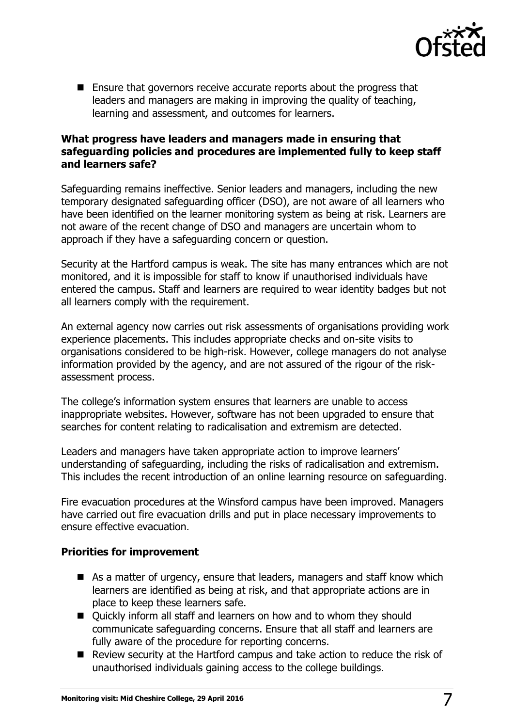

■ Ensure that governors receive accurate reports about the progress that leaders and managers are making in improving the quality of teaching, learning and assessment, and outcomes for learners.

#### **What progress have leaders and managers made in ensuring that safeguarding policies and procedures are implemented fully to keep staff and learners safe?**

Safeguarding remains ineffective. Senior leaders and managers, including the new temporary designated safeguarding officer (DSO), are not aware of all learners who have been identified on the learner monitoring system as being at risk. Learners are not aware of the recent change of DSO and managers are uncertain whom to approach if they have a safeguarding concern or question.

Security at the Hartford campus is weak. The site has many entrances which are not monitored, and it is impossible for staff to know if unauthorised individuals have entered the campus. Staff and learners are required to wear identity badges but not all learners comply with the requirement.

An external agency now carries out risk assessments of organisations providing work experience placements. This includes appropriate checks and on-site visits to organisations considered to be high-risk. However, college managers do not analyse information provided by the agency, and are not assured of the rigour of the riskassessment process.

The college's information system ensures that learners are unable to access inappropriate websites. However, software has not been upgraded to ensure that searches for content relating to radicalisation and extremism are detected.

Leaders and managers have taken appropriate action to improve learners' understanding of safeguarding, including the risks of radicalisation and extremism. This includes the recent introduction of an online learning resource on safeguarding.

Fire evacuation procedures at the Winsford campus have been improved. Managers have carried out fire evacuation drills and put in place necessary improvements to ensure effective evacuation.

#### **Priorities for improvement**

- As a matter of urgency, ensure that leaders, managers and staff know which learners are identified as being at risk, and that appropriate actions are in place to keep these learners safe.
- Ouickly inform all staff and learners on how and to whom they should communicate safeguarding concerns. Ensure that all staff and learners are fully aware of the procedure for reporting concerns.
- Review security at the Hartford campus and take action to reduce the risk of unauthorised individuals gaining access to the college buildings.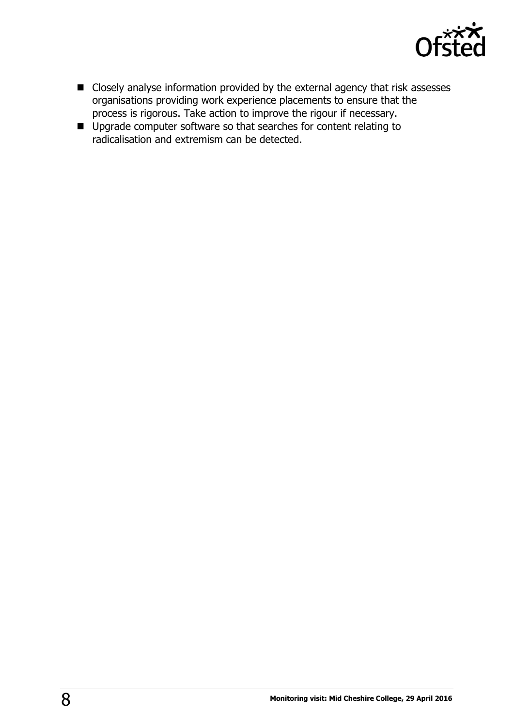

- Closely analyse information provided by the external agency that risk assesses organisations providing work experience placements to ensure that the process is rigorous. Take action to improve the rigour if necessary.
- Upgrade computer software so that searches for content relating to radicalisation and extremism can be detected.